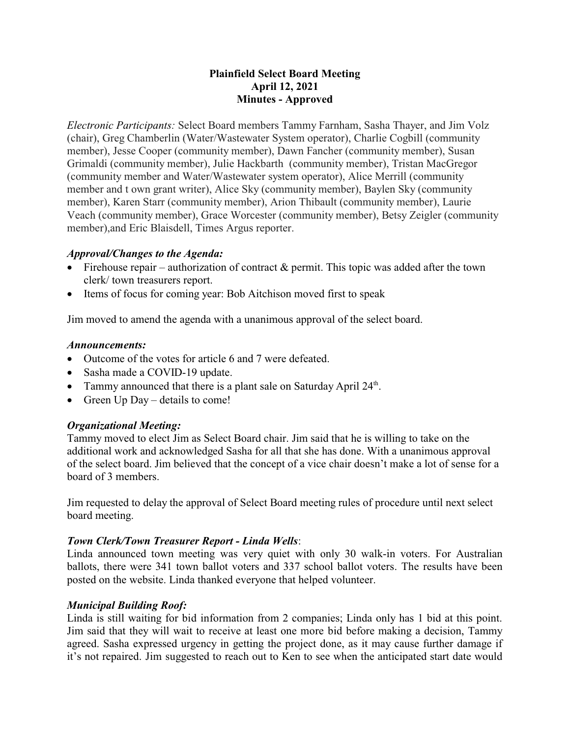# **Plainfield Select Board Meeting April 12, 2021 Minutes - Approved**

*Electronic Participants:* Select Board members Tammy Farnham, Sasha Thayer, and Jim Volz (chair), Greg Chamberlin (Water/Wastewater System operator), Charlie Cogbill (community member), Jesse Cooper (community member), Dawn Fancher (community member), Susan Grimaldi (community member), Julie Hackbarth (community member), Tristan MacGregor (community member and Water/Wastewater system operator), Alice Merrill (community member and t own grant writer), Alice Sky (community member), Baylen Sky (community member), Karen Starr (community member), Arion Thibault (community member), Laurie Veach (community member), Grace Worcester (community member), Betsy Zeigler (community member),and Eric Blaisdell, Times Argus reporter.

### *Approval/Changes to the Agenda:*

- Firehouse repair authorization of contract  $\&$  permit. This topic was added after the town clerk/ town treasurers report.
- Items of focus for coming year: Bob Aitchison moved first to speak

Jim moved to amend the agenda with a unanimous approval of the select board.

#### *Announcements:*

- · Outcome of the votes for article 6 and 7 were defeated.
- Sasha made a COVID-19 update.
- Tammy announced that there is a plant sale on Saturday April 24<sup>th</sup>.
- Green  $Up$  Day details to come!

# *Organizational Meeting:*

Tammy moved to elect Jim as Select Board chair. Jim said that he is willing to take on the additional work and acknowledged Sasha for all that she has done. With a unanimous approval of the select board. Jim believed that the concept of a vice chair doesn't make a lot of sense for a board of 3 members.

Jim requested to delay the approval of Select Board meeting rules of procedure until next select board meeting.

#### *Town Clerk/Town Treasurer Report - Linda Wells*:

Linda announced town meeting was very quiet with only 30 walk-in voters. For Australian ballots, there were 341 town ballot voters and 337 school ballot voters. The results have been posted on the website. Linda thanked everyone that helped volunteer.

# *Municipal Building Roof:*

Linda is still waiting for bid information from 2 companies; Linda only has 1 bid at this point. Jim said that they will wait to receive at least one more bid before making a decision, Tammy agreed. Sasha expressed urgency in getting the project done, as it may cause further damage if it's not repaired. Jim suggested to reach out to Ken to see when the anticipated start date would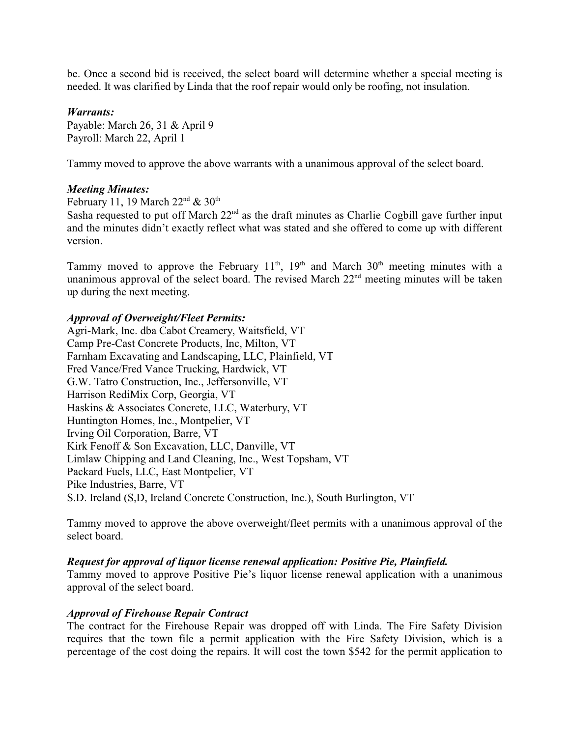be. Once a second bid is received, the select board will determine whether a special meeting is needed. It was clarified by Linda that the roof repair would only be roofing, not insulation.

#### *Warrants:*

Payable: March 26, 31 & April 9 Payroll: March 22, April 1

Tammy moved to approve the above warrants with a unanimous approval of the select board.

#### *Meeting Minutes:*

February 11, 19 March  $22<sup>nd</sup>$  &  $30<sup>th</sup>$ 

Sasha requested to put off March 22<sup>nd</sup> as the draft minutes as Charlie Cogbill gave further input and the minutes didn't exactly reflect what was stated and she offered to come up with different version.

Tammy moved to approve the February  $11<sup>th</sup>$ ,  $19<sup>th</sup>$  and March  $30<sup>th</sup>$  meeting minutes with a unanimous approval of the select board. The revised March  $22<sup>nd</sup>$  meeting minutes will be taken up during the next meeting.

#### *Approval of Overweight/Fleet Permits:*

Agri-Mark, Inc. dba Cabot Creamery, Waitsfield, VT Camp Pre-Cast Concrete Products, Inc, Milton, VT Farnham Excavating and Landscaping, LLC, Plainfield, VT Fred Vance/Fred Vance Trucking, Hardwick, VT G.W. Tatro Construction, Inc., Jeffersonville, VT Harrison RediMix Corp, Georgia, VT Haskins & Associates Concrete, LLC, Waterbury, VT Huntington Homes, Inc., Montpelier, VT Irving Oil Corporation, Barre, VT Kirk Fenoff & Son Excavation, LLC, Danville, VT Limlaw Chipping and Land Cleaning, Inc., West Topsham, VT Packard Fuels, LLC, East Montpelier, VT Pike Industries, Barre, VT S.D. Ireland (S,D, Ireland Concrete Construction, Inc.), South Burlington, VT

Tammy moved to approve the above overweight/fleet permits with a unanimous approval of the select board.

#### *Request for approval of liquor license renewal application: Positive Pie, Plainfield.*

Tammy moved to approve Positive Pie's liquor license renewal application with a unanimous approval of the select board.

#### *Approval of Firehouse Repair Contract*

The contract for the Firehouse Repair was dropped off with Linda. The Fire Safety Division requires that the town file a permit application with the Fire Safety Division, which is a percentage of the cost doing the repairs. It will cost the town \$542 for the permit application to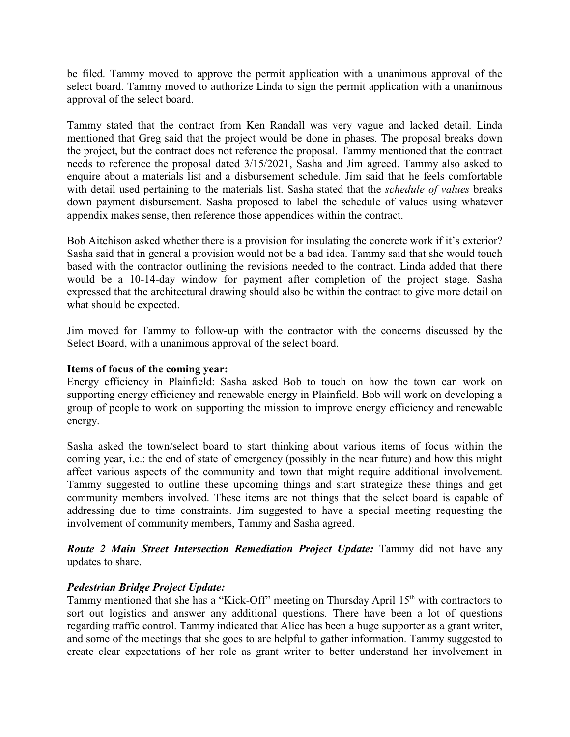be filed. Tammy moved to approve the permit application with a unanimous approval of the select board. Tammy moved to authorize Linda to sign the permit application with a unanimous approval of the select board.

Tammy stated that the contract from Ken Randall was very vague and lacked detail. Linda mentioned that Greg said that the project would be done in phases. The proposal breaks down the project, but the contract does not reference the proposal. Tammy mentioned that the contract needs to reference the proposal dated 3/15/2021, Sasha and Jim agreed. Tammy also asked to enquire about a materials list and a disbursement schedule. Jim said that he feels comfortable with detail used pertaining to the materials list. Sasha stated that the *schedule of values* breaks down payment disbursement. Sasha proposed to label the schedule of values using whatever appendix makes sense, then reference those appendices within the contract.

Bob Aitchison asked whether there is a provision for insulating the concrete work if it's exterior? Sasha said that in general a provision would not be a bad idea. Tammy said that she would touch based with the contractor outlining the revisions needed to the contract. Linda added that there would be a 10-14-day window for payment after completion of the project stage. Sasha expressed that the architectural drawing should also be within the contract to give more detail on what should be expected.

Jim moved for Tammy to follow-up with the contractor with the concerns discussed by the Select Board, with a unanimous approval of the select board.

#### **Items of focus of the coming year:**

Energy efficiency in Plainfield: Sasha asked Bob to touch on how the town can work on supporting energy efficiency and renewable energy in Plainfield. Bob will work on developing a group of people to work on supporting the mission to improve energy efficiency and renewable energy.

Sasha asked the town/select board to start thinking about various items of focus within the coming year, i.e.: the end of state of emergency (possibly in the near future) and how this might affect various aspects of the community and town that might require additional involvement. Tammy suggested to outline these upcoming things and start strategize these things and get community members involved. These items are not things that the select board is capable of addressing due to time constraints. Jim suggested to have a special meeting requesting the involvement of community members, Tammy and Sasha agreed.

*Route 2 Main Street Intersection Remediation Project Update:* Tammy did not have any updates to share.

#### *Pedestrian Bridge Project Update:*

Tammy mentioned that she has a "Kick-Off" meeting on Thursday April 15<sup>th</sup> with contractors to sort out logistics and answer any additional questions. There have been a lot of questions regarding traffic control. Tammy indicated that Alice has been a huge supporter as a grant writer, and some of the meetings that she goes to are helpful to gather information. Tammy suggested to create clear expectations of her role as grant writer to better understand her involvement in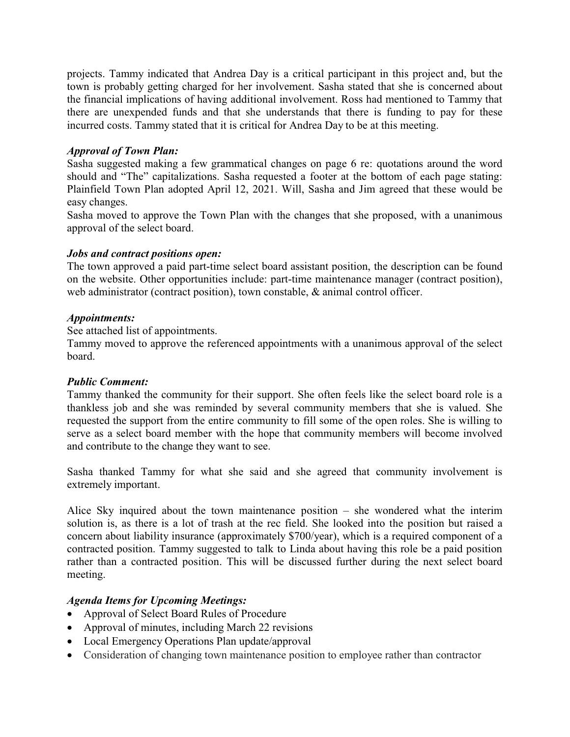projects. Tammy indicated that Andrea Day is a critical participant in this project and, but the town is probably getting charged for her involvement. Sasha stated that she is concerned about the financial implications of having additional involvement. Ross had mentioned to Tammy that there are unexpended funds and that she understands that there is funding to pay for these incurred costs. Tammy stated that it is critical for Andrea Day to be at this meeting.

## *Approval of Town Plan:*

Sasha suggested making a few grammatical changes on page 6 re: quotations around the word should and "The" capitalizations. Sasha requested a footer at the bottom of each page stating: Plainfield Town Plan adopted April 12, 2021. Will, Sasha and Jim agreed that these would be easy changes.

Sasha moved to approve the Town Plan with the changes that she proposed, with a unanimous approval of the select board.

#### *Jobs and contract positions open:*

The town approved a paid part-time select board assistant position, the description can be found on the website. Other opportunities include: part-time maintenance manager (contract position), web administrator (contract position), town constable, & animal control officer.

#### *Appointments:*

See attached list of appointments.

Tammy moved to approve the referenced appointments with a unanimous approval of the select board.

#### *Public Comment:*

Tammy thanked the community for their support. She often feels like the select board role is a thankless job and she was reminded by several community members that she is valued. She requested the support from the entire community to fill some of the open roles. She is willing to serve as a select board member with the hope that community members will become involved and contribute to the change they want to see.

Sasha thanked Tammy for what she said and she agreed that community involvement is extremely important.

Alice Sky inquired about the town maintenance position – she wondered what the interim solution is, as there is a lot of trash at the rec field. She looked into the position but raised a concern about liability insurance (approximately \$700/year), which is a required component of a contracted position. Tammy suggested to talk to Linda about having this role be a paid position rather than a contracted position. This will be discussed further during the next select board meeting.

#### *Agenda Items for Upcoming Meetings:*

- · Approval of Select Board Rules of Procedure
- Approval of minutes, including March 22 revisions
- Local Emergency Operations Plan update/approval
- · Consideration of changing town maintenance position to employee rather than contractor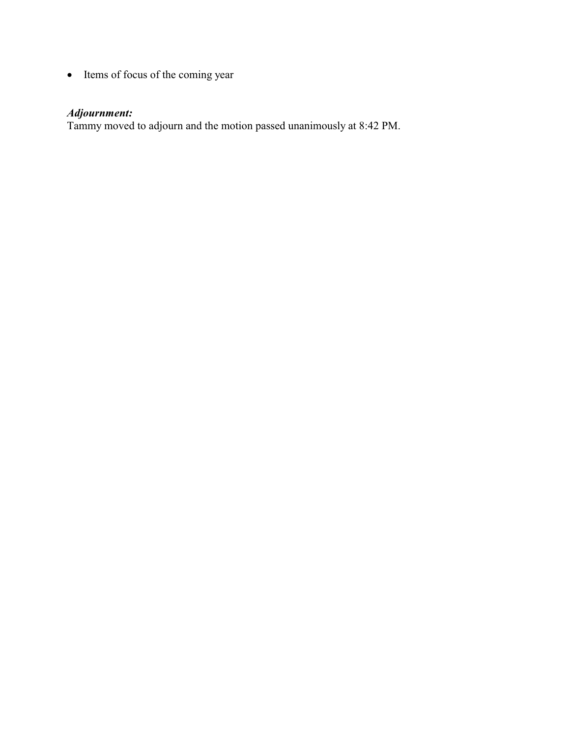• Items of focus of the coming year

# *Adjournment:*

Tammy moved to adjourn and the motion passed unanimously at 8:42 PM.